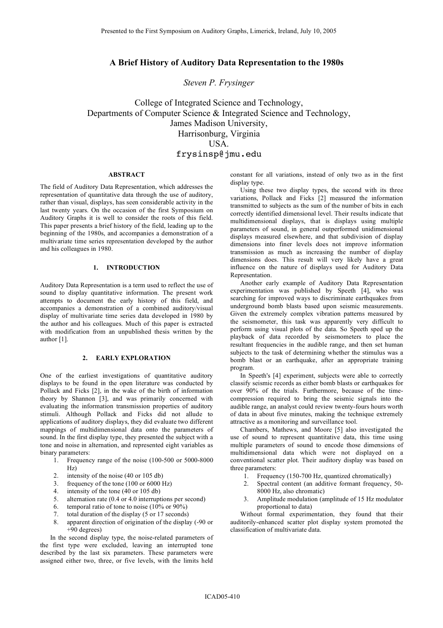# **A Brief History of Auditory Data Representation to the 1980s**

*Steven P. Frysinger*

College of Integrated Science and Technology, Departments of Computer Science & Integrated Science and Technology, James Madison University, Harrisonburg, Virginia USA. frysinsp@jmu.edu

#### **ABSTRACT**

The field of Auditory Data Representation, which addresses the representation of quantitative data through the use of auditory, rather than visual, displays, has seen considerable activity in the last twenty years. On the occasion of the first Symposium on Auditory Graphs it is well to consider the roots of this field. This paper presents a brief history of the field, leading up to the beginning of the 1980s, and accompanies a demonstration of a multivariate time series representation developed by the author and his colleagues in 1980.

## **1. INTRODUCTION**

Auditory Data Representation is a term used to reflect the use of sound to display quantitative information. The present work attempts to document the early history of this field, and accompanies a demonstration of a combined auditory/visual display of multivariate time series data developed in 1980 by the author and his colleagues. Much of this paper is extracted with modification from an unpublished thesis written by the author [1].

### **2. EARLY EXPLORATION**

One of the earliest investigations of quantitative auditory displays to be found in the open literature was conducted by Pollack and Ficks [2], in the wake of the birth of information theory by Shannon [3], and was primarily concerned with evaluating the information transmission properties of auditory stimuli. Although Pollack and Ficks did not allude to applications of auditory displays, they did evaluate two different mappings of multidimensional data onto the parameters of sound. In the first display type, they presented the subject with a tone and noise in alternation, and represented eight variables as binary parameters:

- 1. Frequency range of the noise (100-500 or 5000-8000 Hz)
- 2. intensity of the noise (40 or 105 db)
- 3. frequency of the tone (100 or 6000 Hz)
- 4. intensity of the tone (40 or 105 db)
- 5. alternation rate (0.4 or 4.0 interruptions per second)
- 6. temporal ratio of tone to noise  $(10\% \text{ or } 90\%)$
- 7. total duration of the display (5 or 17 seconds)
- 8. apparent direction of origination of the display (-90 or +90 degrees)

In the second display type, the noise-related parameters of the first type were excluded, leaving an interrupted tone described by the last six parameters. These parameters were assigned either two, three, or five levels, with the limits held

constant for all variations, instead of only two as in the first display type.

Using these two display types, the second with its three variations, Pollack and Ficks [2] measured the information transmitted to subjects as the sum of the number of bits in each correctly identified dimensional level. Their results indicate that multidimensional displays, that is displays using multiple parameters of sound, in general outperformed unidimensional displays measured elsewhere, and that subdivision of display dimensions into finer levels does not improve information transmission as much as increasing the number of display dimensions does. This result will very likely have a great influence on the nature of displays used for Auditory Data Representation.

Another early example of Auditory Data Representation experimentation was published by Speeth [4], who was searching for improved ways to discriminate earthquakes from underground bomb blasts based upon seismic measurements. Given the extremely complex vibration patterns measured by the seismometer, this task was apparently very difficult to perform using visual plots of the data. So Speeth sped up the playback of data recorded by seismometers to place the resultant frequencies in the audible range, and then set human subjects to the task of determining whether the stimulus was a bomb blast or an earthquake, after an appropriate training program.

In Speeth's [4] experiment, subjects were able to correctly classify seismic records as either bomb blasts or earthquakes for over 90% of the trials. Furthermore, because of the timecompression required to bring the seismic signals into the audible range, an analyst could review twenty-fours hours worth of data in about five minutes, making the technique extremely attractive as a monitoring and surveillance tool.

Chambers, Mathews, and Moore [5] also investigated the use of sound to represent quantitative data, this time using multiple parameters of sound to encode those dimensions of multidimensional data which were not displayed on a conventional scatter plot. Their auditory display was based on three parameters:

- 1. Frequency (150-700 Hz, quantized chromatically)
- 2. Spectral content (an additive formant frequency, 50- 8000 Hz, also chromatic)
- 3. Amplitude modulation (amplitude of 15 Hz modulator proportional to data)

Without formal experimentation, they found that their auditorily-enhanced scatter plot display system promoted the classification of multivariate data.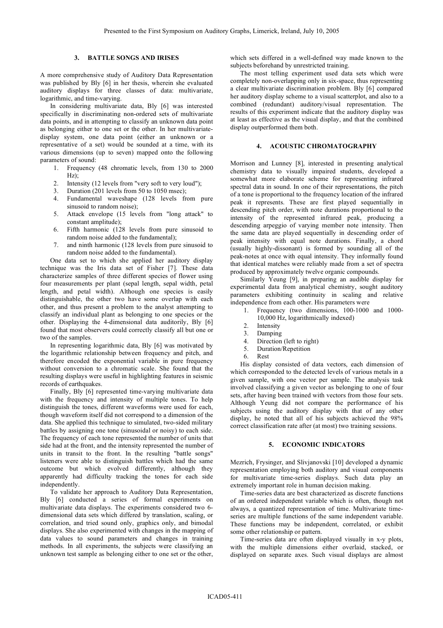## **3. BATTLE SONGS AND IRISES**

A more comprehensive study of Auditory Data Representation was published by Bly [6] in her thesis, wherein she evaluated auditory displays for three classes of data: multivariate, logarithmic, and time-varying.

In considering multivariate data, Bly [6] was interested specifically in discriminating non-ordered sets of multivariate data points, and in attempting to classify an unknown data point as belonging either to one set or the other. In her multivariatedisplay system, one data point (either an unknown or a representative of a set) would be sounded at a time, with its various dimensions (up to seven) mapped onto the following parameters of sound:

- 1. Frequency (48 chromatic levels, from 130 to 2000 Hz);
- 2. Intensity (12 levels from "very soft to very loud");
- 3. Duration (201 levels from 50 to 1050 msec);
- 4. Fundamental waveshape (128 levels from pure sinusoid to random noise);
- 5. Attack envelope (15 levels from "long attack" to constant amplitude);
- 6. Fifth harmonic (128 levels from pure sinusoid to random noise added to the fundamental);
- 7. and ninth harmonic (128 levels from pure sinusoid to random noise added to the fundamental).

One data set to which she applied her auditory display technique was the Iris data set of Fisher [7]. These data characterize samples of three different species of flower using four measurements per plant (sepal length, sepal width, petal length, and petal width). Although one species is easily distinguishable, the other two have some overlap with each other, and thus present a problem to the analyst attempting to classify an individual plant as belonging to one species or the other. Displaying the 4-dimensional data auditorily, Bly [6] found that most observers could correctly classify all but one or two of the samples.

In representing logarithmic data, Bly [6] was motivated by the logarithmic relationship between frequency and pitch, and therefore encoded the exponential variable in pure frequency without conversion to a chromatic scale. She found that the resulting displays were useful in highlighting features in seismic records of earthquakes.

Finally, Bly [6] represented time-varying multivariate data with the frequency and intensity of multiple tones. To help distinguish the tones, different waveforms were used for each, though waveform itself did not correspond to a dimension of the data. She applied this technique to simulated, two-sided military battles by assigning one tone (sinusoidal or noisy) to each side. The frequency of each tone represented the number of units that side had at the front, and the intensity represented the number of units in transit to the front. In the resulting "battle songs" listeners were able to distinguish battles which had the same outcome but which evolved differently, although they apparently had difficulty tracking the tones for each side independently.

To validate her approach to Auditory Data Representation, Bly [6] conducted a series of formal experiments on multivariate data displays. The experiments considered two 6 dimensional data sets which differed by translation, scaling, or correlation, and tried sound only, graphics only, and bimodal displays. She also experimented with changes in the mapping of data values to sound parameters and changes in training methods. In all experiments, the subjects were classifying an unknown test sample as belonging either to one set or the other, which sets differed in a well-defined way made known to the subjects beforehand by unrestricted training.

The most telling experiment used data sets which were completely non-overlapping only in six-space, thus representing a clear multivariate discrimination problem. Bly [6] compared her auditory display scheme to a visual scatterplot, and also to a combined (redundant) auditory/visual representation. The results of this experiment indicate that the auditory display was at least as effective as the visual display, and that the combined display outperformed them both.

## **4. ACOUSTIC CHROMATOGRAPHY**

Morrison and Lunney [8], interested in presenting analytical chemistry data to visually impaired students, developed a somewhat more elaborate scheme for representing infrared spectral data in sound. In one of their representations, the pitch of a tone is proportional to the frequency location of the infrared peak it represents. These are first played sequentially in descending pitch order, with note durations proportional to the intensity of the represented infrared peak, producing a descending arpeggio of varying member note intensity. Then the same data are played sequentially in descending order of peak intensity with equal note durations. Finally, a chord (usually highly-dissonant) is formed by sounding all of the peak-notes at once with equal intensity. They informally found that identical matches were reliably made from a set of spectra produced by approximately twelve organic compounds.

Similarly Yeung [9], in preparing an audible display for experimental data from analytical chemistry, sought auditory parameters exhibiting continuity in scaling and relative independence from each other. His parameters were

- 1. Frequency (two dimensions, 100-1000 and 1000- 10,000 Hz, logarithmically indexed)
- 2. Intensity
- 3. Damping
- 4. Direction (left to right)
- 5. Duration/Repetition
- 6. Rest

His display consisted of data vectors, each dimension of which corresponded to the detected levels of various metals in a given sample, with one vector per sample. The analysis task involved classifying a given vector as belonging to one of four sets, after having been trained with vectors from those four sets. Although Yeung did not compare the performance of his subjects using the auditory display with that of any other display, he noted that all of his subjects achieved the 98% correct classification rate after (at most) two training sessions.

## **5. ECONOMIC INDICATORS**

Mezrich, Frysinger, and Slivjanovski [10] developed a dynamic representation employing both auditory and visual components for multivariate time-series displays. Such data play an extremely important role in human decision making.

Time-series data are best characterized as discrete functions of an ordered independent variable which is often, though not always, a quantized representation of time. Multivariate timeseries are multiple functions of the same independent variable. These functions may be independent, correlated, or exhibit some other relationship or pattern.

Time-series data are often displayed visually in x-y plots, with the multiple dimensions either overlaid, stacked, or displayed on separate axes. Such visual displays are almost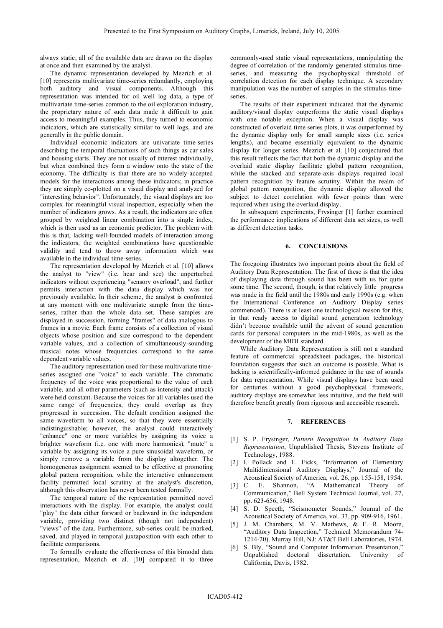always static; all of the available data are drawn on the display at once and then examined by the analyst.

The dynamic representation developed by Mezrich et al. [10] represents multivariate time-series redundantly, employing both auditory and visual components. Although this representation was intended for oil well log data, a type of multivariate time-series common to the oil exploration industry, the proprietary nature of such data made it difficult to gain access to meaningful examples. Thus, they turned to economic indicators, which are statistically similar to well logs, and are generally in the public domain.

Individual economic indicators are univariate time-series describing the temporal fluctuations of such things as car sales and housing starts. They are not usually of interest individually, but when combined they form a window onto the state of the economy. The difficulty is that there are no widely-accepted models for the interactions among these indicators; in practice they are simply co-plotted on a visual display and analyzed for "interesting behavior". Unfortunately, the visual displays are too complex for meaningful visual inspection, especially when the number of indicators grows. As a result, the indicators are often grouped by weighted linear combination into a single index, which is then used as an economic predictor. The problem with this is that, lacking well-founded models of interaction among the indicators, the weighted combinations have questionable validity and tend to throw away information which was available in the individual time-series.

The representation developed by Mezrich et al. [10] allows the analyst to "view" (i.e. hear and see) the unperturbed indicators without experiencing "sensory overload", and further permits interaction with the data display which was not previously available. In their scheme, the analyst is confronted at any moment with one multivariate sample from the timeseries, rather than the whole data set. These samples are displayed in succession, forming "frames" of data analogous to frames in a movie. Each frame consists of a collection of visual objects whose position and size correspond to the dependent variable values, and a collection of simultaneously-sounding musical notes whose frequencies correspond to the same dependent variable values.

The auditory representation used for these multivariate timeseries assigned one "voice" to each variable. The chromatic frequency of the voice was proportional to the value of each variable, and all other parameters (such as intensity and attack) were held constant. Because the voices for all variables used the same range of frequencies, they could overlap as they progressed in succession. The default condition assigned the same waveform to all voices, so that they were essentially indistinguishable; however, the analyst could interactively "enhance" one or more variables by assigning its voice a brighter waveform (i.e. one with more harmonics), "mute" a variable by assigning its voice a pure sinusoidal waveform, or simply remove a variable from the display altogether. The homogeneous assignment seemed to be effective at promoting global pattern recognition, while the interactive enhancement facility permitted local scrutiny at the analyst's discretion, although this observation has never been tested formally.

The temporal nature of the representation permitted novel interactions with the display. For example, the analyst could "play" the data either forward or backward in the independent variable, providing two distinct (though not independent) "views" of the data. Furthermore, sub-series could be marked, saved, and played in temporal juxtaposition with each other to facilitate comparisons.

To formally evaluate the effectiveness of this bimodal data representation, Mezrich et al. [10] compared it to three commonly-used static visual representations, manipulating the degree of correlation of the randomly generated stimulus timeseries, and measuring the psychophysical threshold of correlation detection for each display technique. A secondary manipulation was the number of samples in the stimulus timeseries.

The results of their experiment indicated that the dynamic auditory/visual display outperforms the static visual displays with one notable exception. When a visual display was constructed of overlaid time series plots, it was outperformed by the dynamic display only for small sample sizes (i.e. series lengths), and became essentially equivalent to the dynamic display for longer series. Mezrich et al. [10] conjectured that this result reflects the fact that both the dynamic display and the overlaid static display facilitate global pattern recognition, while the stacked and separate-axis displays required local pattern recognition by feature scrutiny. Within the realm of global pattern recognition, the dynamic display allowed the subject to detect correlation with fewer points than were required when using the overlaid display.

In subsequent experiments, Frysinger [1] further examined the performance implications of different data set sizes, as well as different detection tasks.

#### **6. CONCLUSIONS**

The foregoing illustrates two important points about the field of Auditory Data Representation. The first of these is that the idea of displaying data through sound has been with us for quite some time. The second, though, is that relatively little progress was made in the field until the 1980s and early 1990s (e.g. when the International Conference on Auditory Display series commenced). There is at least one technological reason for this, in that ready access to digital sound generation technology didn't become available until the advent of sound generation cards for personal computers in the mid-1980s, as well as the development of the MIDI standard.

While Auditory Data Representation is still not a standard feature of commercial spreadsheet packages, the historical foundation suggests that such an outcome is possible. What is lacking is scientifically-informed guidance in the use of sounds for data representation. While visual displays have been used for centuries without a good psychophysical framework, auditory displays are somewhat less intuitive, and the field will therefore benefit greatly from rigorous and accessible research.

### **7. REFERENCES**

- [1] S. P. Frysinger, *Pattern Recognition In Auditory Data Representation*, Unpublished Thesis, Stevens Institute of Technology, 1988.
- [2] I. Pollack and L. Ficks, "Information of Elementary Multidimensional Auditory Displays," Journal of the Acoustical Society of America, vol. 26, pp. 155-158, 1954.
- [3] C. E. Shannon, "A Mathematical Theory of Communication," Bell System Technical Journal, vol. 27, pp. 623-656, 1948.
- [4] S. D. Speeth, "Seismometer Sounds," Journal of the Acoustical Society of America, vol. 33, pp. 909-916, 1961.
- [5] J. M. Chambers, M. V. Mathews, & F. R. Moore, "Auditory Data Inspection," Technical Memorandum 74- 1214-20). Murray Hill, NJ: AT&T Bell Laboratories, 1974.
- [6] S. Bly, "Sound and Computer Information Presentation," Unpublished doctoral dissertation, University of California, Davis, 1982.